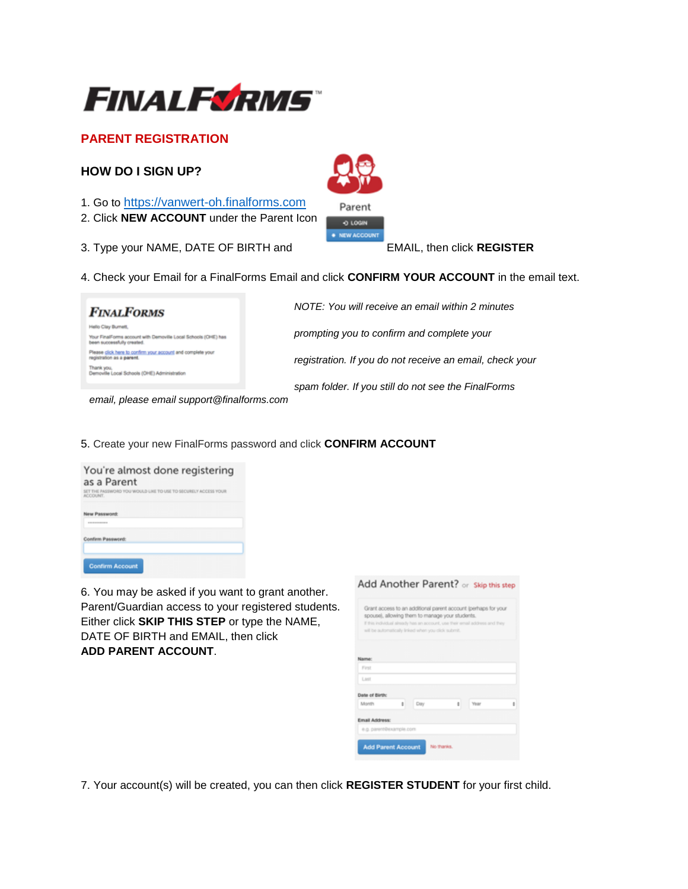

# **PARENT REGISTRATION**

## **HOW DO I SIGN UP?**

- 1. Go to https://vanwert-oh.finalforms.com
- 2. Click **NEW ACCOUNT** under the Parent Icon
- 3. Type your NAME, DATE OF BIRTH and EMAIL, then click **REGISTER**



| <b>FINALFORMS</b>                                                                           | NOTE: You will receive an email within 2 minutes         |
|---------------------------------------------------------------------------------------------|----------------------------------------------------------|
| tilo Clay Burnett.                                                                          | prompting you to confirm and complete your               |
| Your FinalForms account with Demoville Local Schools (OHE) has<br>ean successfully created. |                                                          |
| Please click here to confirm your account and complete your<br>agistration as a parent.     | registration. If you do not receive an email, check your |
| Demoville Local Schools (OHE) Administration                                                |                                                          |
|                                                                                             | spam folder. If you still do not see the FinalForms      |

 *email, please email support@finalforms.com*

5. Create your new FinalForms password and click **CONFIRM ACCOUNT** 

| You're almost done registering<br>as a Parent<br>SET THE PASSWORD YOU WOULD LIKE TO USE TO SECURELY ACCESS YOUR<br>ACCOUNT. |  |  |  |  |
|-----------------------------------------------------------------------------------------------------------------------------|--|--|--|--|
| New Password:                                                                                                               |  |  |  |  |
| Confirm Password:                                                                                                           |  |  |  |  |
| <b>Confirm Account</b>                                                                                                      |  |  |  |  |

6. You may be asked if you want to grant another. Parent/Guardian access to your registered students. Either click **SKIP THIS STEP** or type the NAME, DATE OF BIRTH and EMAIL, then click **ADD PARENT ACCOUNT**.

|                |   | spouse), allowing them to manage your students.<br>will be automatically linked when you click submit. |   | Grant access to an additional parent account (perhaps for your<br>If this individual already has an account, use their email address and they |   |
|----------------|---|--------------------------------------------------------------------------------------------------------|---|-----------------------------------------------------------------------------------------------------------------------------------------------|---|
|                |   |                                                                                                        |   |                                                                                                                                               |   |
| Name:          |   |                                                                                                        |   |                                                                                                                                               |   |
| First          |   |                                                                                                        |   |                                                                                                                                               |   |
| Last           |   |                                                                                                        |   |                                                                                                                                               |   |
| Date of Birth: |   |                                                                                                        |   |                                                                                                                                               |   |
| Month          | ÷ | Day                                                                                                    | ÷ | Year                                                                                                                                          | ž |
| Email Address: |   |                                                                                                        |   |                                                                                                                                               |   |
|                |   |                                                                                                        |   |                                                                                                                                               |   |

7. Your account(s) will be created, you can then click **REGISTER STUDENT** for your first child.



· NEW ACCOUNT